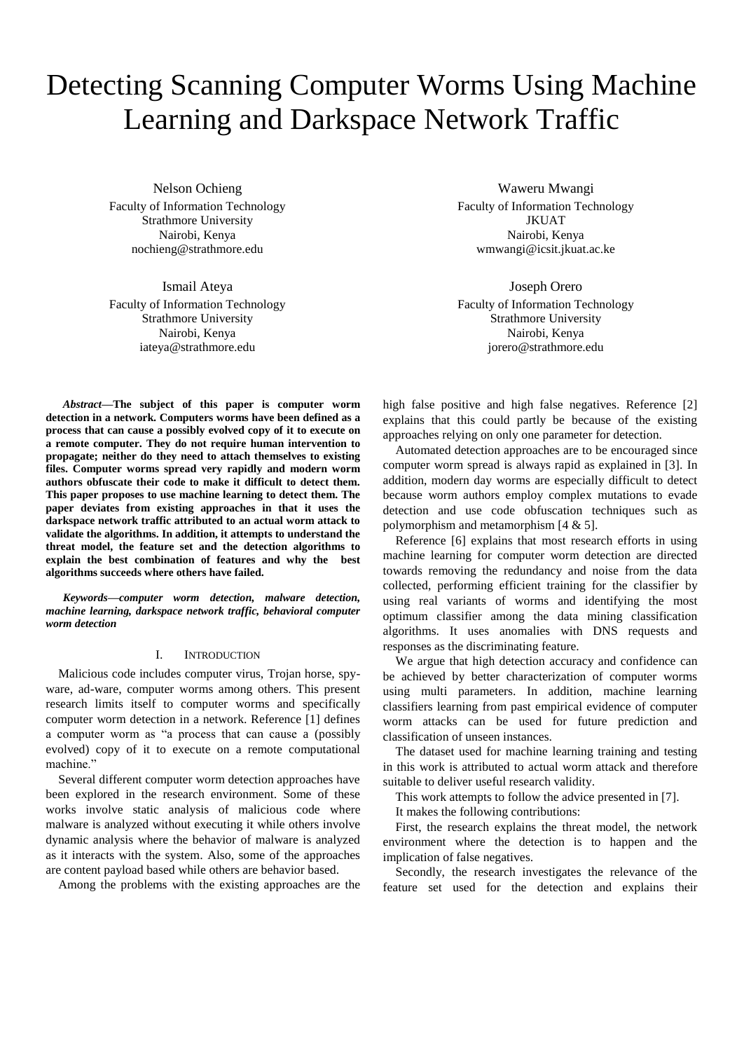# Detecting Scanning Computer Worms Using Machine Learning and Darkspace Network Traffic

Nelson Ochieng Faculty of Information Technology Strathmore University Nairobi, Kenya nochieng@strathmore.edu

Ismail Ateya

Faculty of Information Technology Strathmore University Nairobi, Kenya iateya@strathmore.edu

Waweru Mwangi Faculty of Information Technology JKUAT Nairobi, Kenya wmwangi@icsit.jkuat.ac.ke

Joseph Orero Faculty of Information Technology Strathmore University Nairobi, Kenya jorero@strathmore.edu

*Abstract***—The subject of this paper is computer worm detection in a network. Computers worms have been defined as a process that can cause a possibly evolved copy of it to execute on a remote computer. They do not require human intervention to propagate; neither do they need to attach themselves to existing files. Computer worms spread very rapidly and modern worm authors obfuscate their code to make it difficult to detect them. This paper proposes to use machine learning to detect them. The paper deviates from existing approaches in that it uses the darkspace network traffic attributed to an actual worm attack to validate the algorithms. In addition, it attempts to understand the threat model, the feature set and the detection algorithms to explain the best combination of features and why the best algorithms succeeds where others have failed.**

*Keywords—computer worm detection, malware detection, machine learning, darkspace network traffic, behavioral computer worm detection*

#### I. INTRODUCTION

Malicious code includes computer virus, Trojan horse, spyware, ad-ware, computer worms among others. This present research limits itself to computer worms and specifically computer worm detection in a network. Reference [1] defines a computer worm as "a process that can cause a (possibly evolved) copy of it to execute on a remote computational machine."

Several different computer worm detection approaches have been explored in the research environment. Some of these works involve static analysis of malicious code where malware is analyzed without executing it while others involve dynamic analysis where the behavior of malware is analyzed as it interacts with the system. Also, some of the approaches are content payload based while others are behavior based.

Among the problems with the existing approaches are the

high false positive and high false negatives. Reference [2] explains that this could partly be because of the existing approaches relying on only one parameter for detection. Automated detection approaches are to be encouraged since

computer worm spread is always rapid as explained in [3]. In addition, modern day worms are especially difficult to detect because worm authors employ complex mutations to evade detection and use code obfuscation techniques such as polymorphism and metamorphism [4 & 5].

Reference [6] explains that most research efforts in using machine learning for computer worm detection are directed towards removing the redundancy and noise from the data collected, performing efficient training for the classifier by using real variants of worms and identifying the most optimum classifier among the data mining classification algorithms. It uses anomalies with DNS requests and responses as the discriminating feature.

We argue that high detection accuracy and confidence can be achieved by better characterization of computer worms using multi parameters. In addition, machine learning classifiers learning from past empirical evidence of computer worm attacks can be used for future prediction and classification of unseen instances.

The dataset used for machine learning training and testing in this work is attributed to actual worm attack and therefore suitable to deliver useful research validity.

This work attempts to follow the advice presented in [7].

It makes the following contributions:

First, the research explains the threat model, the network environment where the detection is to happen and the implication of false negatives.

Secondly, the research investigates the relevance of the feature set used for the detection and explains their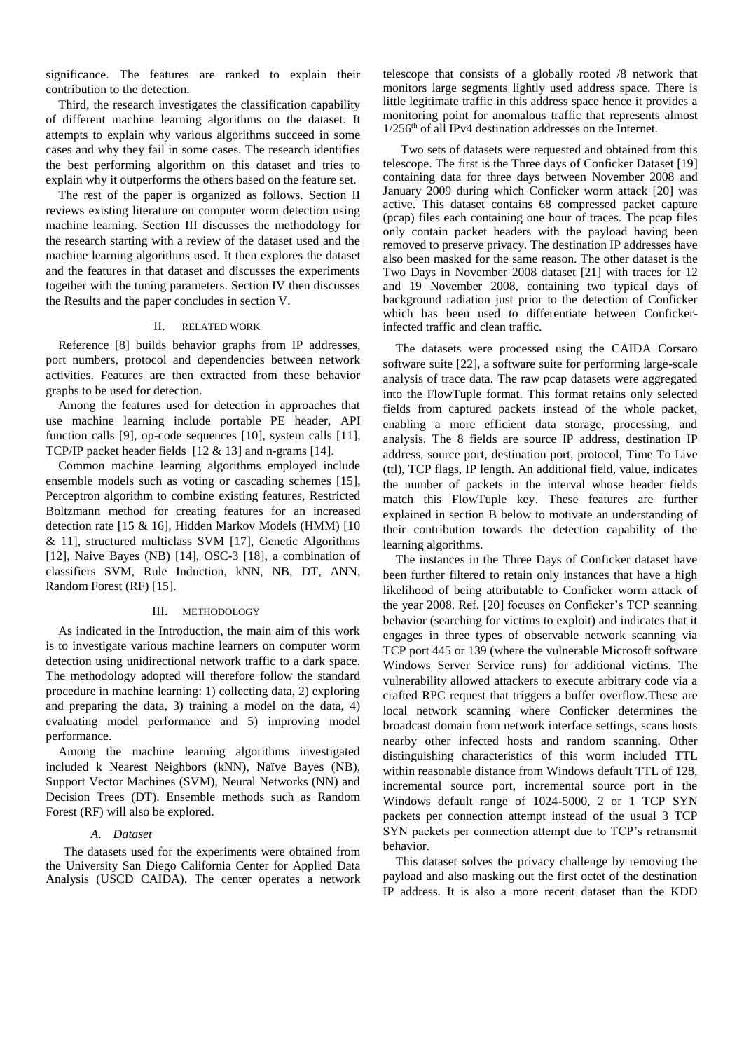significance. The features are ranked to explain their contribution to the detection.

Third, the research investigates the classification capability of different machine learning algorithms on the dataset. It attempts to explain why various algorithms succeed in some cases and why they fail in some cases. The research identifies the best performing algorithm on this dataset and tries to explain why it outperforms the others based on the feature set.

The rest of the paper is organized as follows. Section II reviews existing literature on computer worm detection using machine learning. Section III discusses the methodology for the research starting with a review of the dataset used and the machine learning algorithms used. It then explores the dataset and the features in that dataset and discusses the experiments together with the tuning parameters. Section IV then discusses the Results and the paper concludes in section V.

## II. RELATED WORK

Reference [8] builds behavior graphs from IP addresses, port numbers, protocol and dependencies between network activities. Features are then extracted from these behavior graphs to be used for detection.

Among the features used for detection in approaches that use machine learning include portable PE header, API function calls [9], op-code sequences [10], system calls [11], TCP/IP packet header fields [12 & 13] and n-grams [14].

Common machine learning algorithms employed include ensemble models such as voting or cascading schemes [15], Perceptron algorithm to combine existing features, Restricted Boltzmann method for creating features for an increased detection rate [15 & 16], Hidden Markov Models (HMM) [10 & 11], structured multiclass SVM [17], Genetic Algorithms [12], Naive Bayes (NB) [14], OSC-3 [18], a combination of classifiers SVM, Rule Induction, kNN, NB, DT, ANN, Random Forest (RF) [15].

#### III. METHODOLOGY

As indicated in the Introduction, the main aim of this work is to investigate various machine learners on computer worm detection using unidirectional network traffic to a dark space. The methodology adopted will therefore follow the standard procedure in machine learning: 1) collecting data, 2) exploring and preparing the data, 3) training a model on the data, 4) evaluating model performance and 5) improving model performance.

Among the machine learning algorithms investigated included k Nearest Neighbors (kNN), Naïve Bayes (NB), Support Vector Machines (SVM), Neural Networks (NN) and Decision Trees (DT). Ensemble methods such as Random Forest (RF) will also be explored.

#### *A. Dataset*

The datasets used for the experiments were obtained from the University San Diego California Center for Applied Data Analysis (USCD CAIDA). The center operates a network telescope that consists of a globally rooted /8 network that monitors large segments lightly used address space. There is little legitimate traffic in this address space hence it provides a monitoring point for anomalous traffic that represents almost 1/256th of all IPv4 destination addresses on the Internet.

Two sets of datasets were requested and obtained from this telescope. The first is the Three days of Conficker Dataset [19] containing data for three days between November 2008 and January 2009 during which Conficker worm attack [20] was active. This dataset contains 68 compressed packet capture (pcap) files each containing one hour of traces. The pcap files only contain packet headers with the payload having been removed to preserve privacy. The destination IP addresses have also been masked for the same reason. The other dataset is the Two Days in November 2008 dataset [21] with traces for 12 and 19 November 2008, containing two typical days of background radiation just prior to the detection of Conficker which has been used to differentiate between Confickerinfected traffic and clean traffic.

The datasets were processed using the CAIDA Corsaro software suite [22], a software suite for performing large-scale analysis of trace data. The raw pcap datasets were aggregated into the FlowTuple format. This format retains only selected fields from captured packets instead of the whole packet, enabling a more efficient data storage, processing, and analysis. The 8 fields are source IP address, destination IP address, source port, destination port, protocol, Time To Live (ttl), TCP flags, IP length. An additional field, value, indicates the number of packets in the interval whose header fields match this FlowTuple key. These features are further explained in section B below to motivate an understanding of their contribution towards the detection capability of the learning algorithms.

The instances in the Three Days of Conficker dataset have been further filtered to retain only instances that have a high likelihood of being attributable to Conficker worm attack of the year 2008. Ref. [20] focuses on Conficker's TCP scanning behavior (searching for victims to exploit) and indicates that it engages in three types of observable network scanning via TCP port 445 or 139 (where the vulnerable Microsoft software Windows Server Service runs) for additional victims. The vulnerability allowed attackers to execute arbitrary code via a crafted RPC request that triggers a buffer overflow.These are local network scanning where Conficker determines the broadcast domain from network interface settings, scans hosts nearby other infected hosts and random scanning. Other distinguishing characteristics of this worm included TTL within reasonable distance from Windows default TTL of 128, incremental source port, incremental source port in the Windows default range of 1024-5000, 2 or 1 TCP SYN packets per connection attempt instead of the usual 3 TCP SYN packets per connection attempt due to TCP's retransmit behavior.

This dataset solves the privacy challenge by removing the payload and also masking out the first octet of the destination IP address. It is also a more recent dataset than the KDD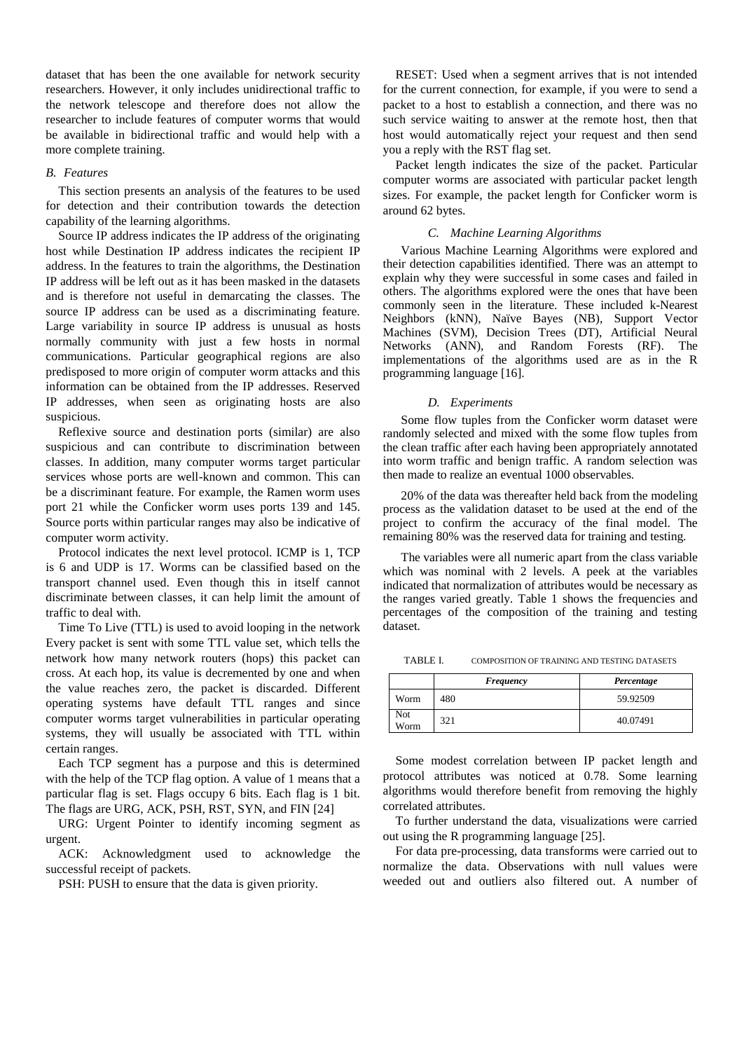dataset that has been the one available for network security researchers. However, it only includes unidirectional traffic to the network telescope and therefore does not allow the researcher to include features of computer worms that would be available in bidirectional traffic and would help with a more complete training.

## *B. Features*

This section presents an analysis of the features to be used for detection and their contribution towards the detection capability of the learning algorithms.

Source IP address indicates the IP address of the originating host while Destination IP address indicates the recipient IP address. In the features to train the algorithms, the Destination IP address will be left out as it has been masked in the datasets and is therefore not useful in demarcating the classes. The source IP address can be used as a discriminating feature. Large variability in source IP address is unusual as hosts normally community with just a few hosts in normal communications. Particular geographical regions are also predisposed to more origin of computer worm attacks and this information can be obtained from the IP addresses. Reserved IP addresses, when seen as originating hosts are also suspicious.

Reflexive source and destination ports (similar) are also suspicious and can contribute to discrimination between classes. In addition, many computer worms target particular services whose ports are well-known and common. This can be a discriminant feature. For example, the Ramen worm uses port 21 while the Conficker worm uses ports 139 and 145. Source ports within particular ranges may also be indicative of computer worm activity.

Protocol indicates the next level protocol. ICMP is 1, TCP is 6 and UDP is 17. Worms can be classified based on the transport channel used. Even though this in itself cannot discriminate between classes, it can help limit the amount of traffic to deal with.

Time To Live (TTL) is used to avoid looping in the network Every packet is sent with some TTL value set, which tells the network how many network routers (hops) this packet can cross. At each hop, its value is decremented by one and when the value reaches zero, the packet is discarded. Different operating systems have default TTL ranges and since computer worms target vulnerabilities in particular operating systems, they will usually be associated with TTL within certain ranges.

Each TCP segment has a purpose and this is determined with the help of the TCP flag option. A value of 1 means that a particular flag is set. Flags occupy 6 bits. Each flag is 1 bit. The flags are URG, ACK, PSH, RST, SYN, and FIN [24]

URG: Urgent Pointer to identify incoming segment as urgent.

ACK: Acknowledgment used to acknowledge the successful receipt of packets.

PSH: PUSH to ensure that the data is given priority.

RESET: Used when a segment arrives that is not intended for the current connection, for example, if you were to send a packet to a host to establish a connection, and there was no such service waiting to answer at the remote host, then that host would automatically reject your request and then send you a reply with the RST flag set.

Packet length indicates the size of the packet. Particular computer worms are associated with particular packet length sizes. For example, the packet length for Conficker worm is around 62 bytes.

## *C. Machine Learning Algorithms*

Various Machine Learning Algorithms were explored and their detection capabilities identified. There was an attempt to explain why they were successful in some cases and failed in others. The algorithms explored were the ones that have been commonly seen in the literature. These included k-Nearest Neighbors (kNN), Naïve Bayes (NB), Support Vector Machines (SVM), Decision Trees (DT), Artificial Neural Networks (ANN), and Random Forests (RF). The implementations of the algorithms used are as in the R programming language [16].

## *D. Experiments*

Some flow tuples from the Conficker worm dataset were randomly selected and mixed with the some flow tuples from the clean traffic after each having been appropriately annotated into worm traffic and benign traffic. A random selection was then made to realize an eventual 1000 observables.

20% of the data was thereafter held back from the modeling process as the validation dataset to be used at the end of the project to confirm the accuracy of the final model. The remaining 80% was the reserved data for training and testing.

The variables were all numeric apart from the class variable which was nominal with 2 levels. A peek at the variables indicated that normalization of attributes would be necessary as the ranges varied greatly. Table 1 shows the frequencies and percentages of the composition of the training and testing dataset.

TABLE I. COMPOSITION OF TRAINING AND TESTING DATASETS

|             | Frequency | Percentage |
|-------------|-----------|------------|
| Worm        | 480       | 59.92509   |
| Not<br>Worm | 321       | 40.07491   |

Some modest correlation between IP packet length and protocol attributes was noticed at 0.78. Some learning algorithms would therefore benefit from removing the highly correlated attributes.

To further understand the data, visualizations were carried out using the R programming language [25].

For data pre-processing, data transforms were carried out to normalize the data. Observations with null values were weeded out and outliers also filtered out. A number of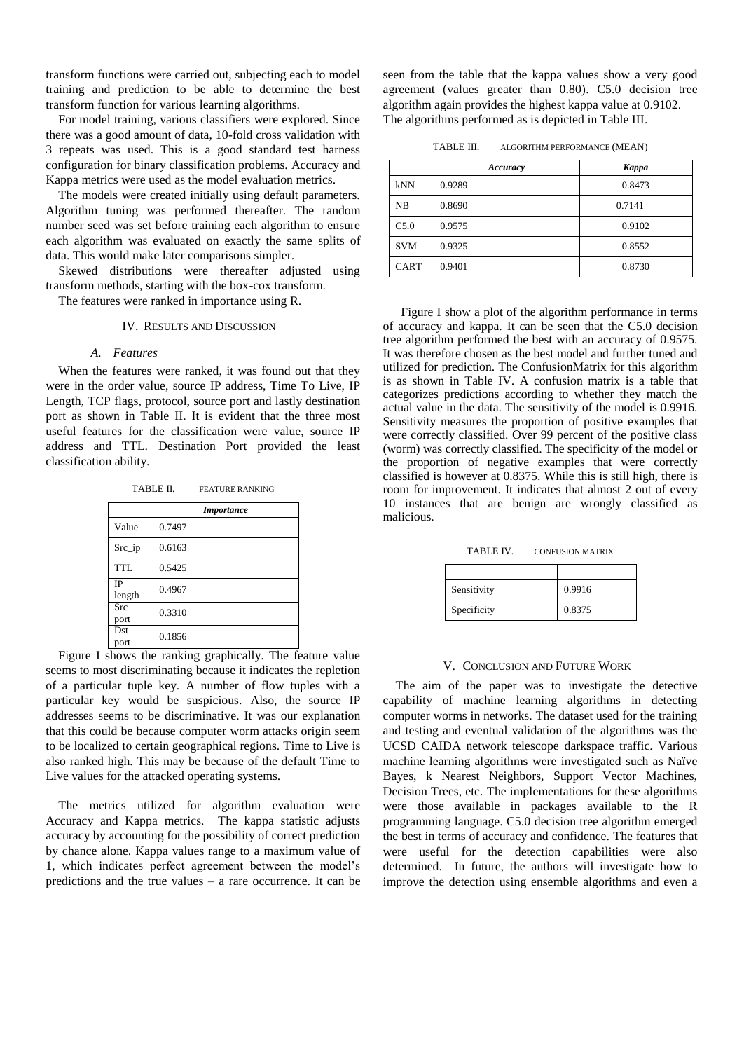transform functions were carried out, subjecting each to model training and prediction to be able to determine the best transform function for various learning algorithms.

For model training, various classifiers were explored. Since there was a good amount of data, 10-fold cross validation with 3 repeats was used. This is a good standard test harness configuration for binary classification problems. Accuracy and Kappa metrics were used as the model evaluation metrics.

The models were created initially using default parameters. Algorithm tuning was performed thereafter. The random number seed was set before training each algorithm to ensure each algorithm was evaluated on exactly the same splits of data. This would make later comparisons simpler.

Skewed distributions were thereafter adjusted using transform methods, starting with the box-cox transform.

The features were ranked in importance using R.

IV. RESULTS AND DISCUSSION

## *A. Features*

When the features were ranked, it was found out that they were in the order value, source IP address, Time To Live, IP Length, TCP flags, protocol, source port and lastly destination port as shown in Table II. It is evident that the three most useful features for the classification were value, source IP address and TTL. Destination Port provided the least classification ability.

TABLE II. FEATURE RANKING

|                     | <i>Importance</i> |  |
|---------------------|-------------------|--|
| Value               | 0.7497            |  |
| $SrC$ _ip           | 0.6163            |  |
| <b>TTL</b>          | 0.5425            |  |
| <b>IP</b><br>length | 0.4967            |  |
| <b>Src</b><br>port  | 0.3310            |  |
| Dst<br>port         | 0.1856            |  |

Figure I shows the ranking graphically. The feature value seems to most discriminating because it indicates the repletion of a particular tuple key. A number of flow tuples with a particular key would be suspicious. Also, the source IP addresses seems to be discriminative. It was our explanation that this could be because computer worm attacks origin seem to be localized to certain geographical regions. Time to Live is also ranked high. This may be because of the default Time to Live values for the attacked operating systems.

The metrics utilized for algorithm evaluation were Accuracy and Kappa metrics. The kappa statistic adjusts accuracy by accounting for the possibility of correct prediction by chance alone. Kappa values range to a maximum value of 1, which indicates perfect agreement between the model's predictions and the true values – a rare occurrence. It can be

seen from the table that the kappa values show a very good agreement (values greater than 0.80). C5.0 decision tree algorithm again provides the highest kappa value at 0.9102. The algorithms performed as is depicted in Table III.

TABLE III. ALGORITHM PERFORMANCE (MEAN)

|            | Accuracy | Kappa  |
|------------|----------|--------|
| kNN        | 0.9289   | 0.8473 |
| NB         | 0.8690   | 0.7141 |
| C5.0       | 0.9575   | 0.9102 |
| <b>SVM</b> | 0.9325   | 0.8552 |
| CART       | 0.9401   | 0.8730 |

Figure I show a plot of the algorithm performance in terms of accuracy and kappa. It can be seen that the C5.0 decision tree algorithm performed the best with an accuracy of 0.9575. It was therefore chosen as the best model and further tuned and utilized for prediction. The ConfusionMatrix for this algorithm is as shown in Table IV. A confusion matrix is a table that categorizes predictions according to whether they match the actual value in the data. The sensitivity of the model is 0.9916. Sensitivity measures the proportion of positive examples that were correctly classified. Over 99 percent of the positive class (worm) was correctly classified. The specificity of the model or the proportion of negative examples that were correctly classified is however at 0.8375. While this is still high, there is room for improvement. It indicates that almost 2 out of every 10 instances that are benign are wrongly classified as malicious.

TABLE IV. CONFUSION MATRIX

| Sensitivity | 0.9916 |
|-------------|--------|
| Specificity | 0.8375 |

#### V. CONCLUSION AND FUTURE WORK

The aim of the paper was to investigate the detective capability of machine learning algorithms in detecting computer worms in networks. The dataset used for the training and testing and eventual validation of the algorithms was the UCSD CAIDA network telescope darkspace traffic. Various machine learning algorithms were investigated such as Naïve Bayes, k Nearest Neighbors, Support Vector Machines, Decision Trees, etc. The implementations for these algorithms were those available in packages available to the R programming language. C5.0 decision tree algorithm emerged the best in terms of accuracy and confidence. The features that were useful for the detection capabilities were also determined. In future, the authors will investigate how to improve the detection using ensemble algorithms and even a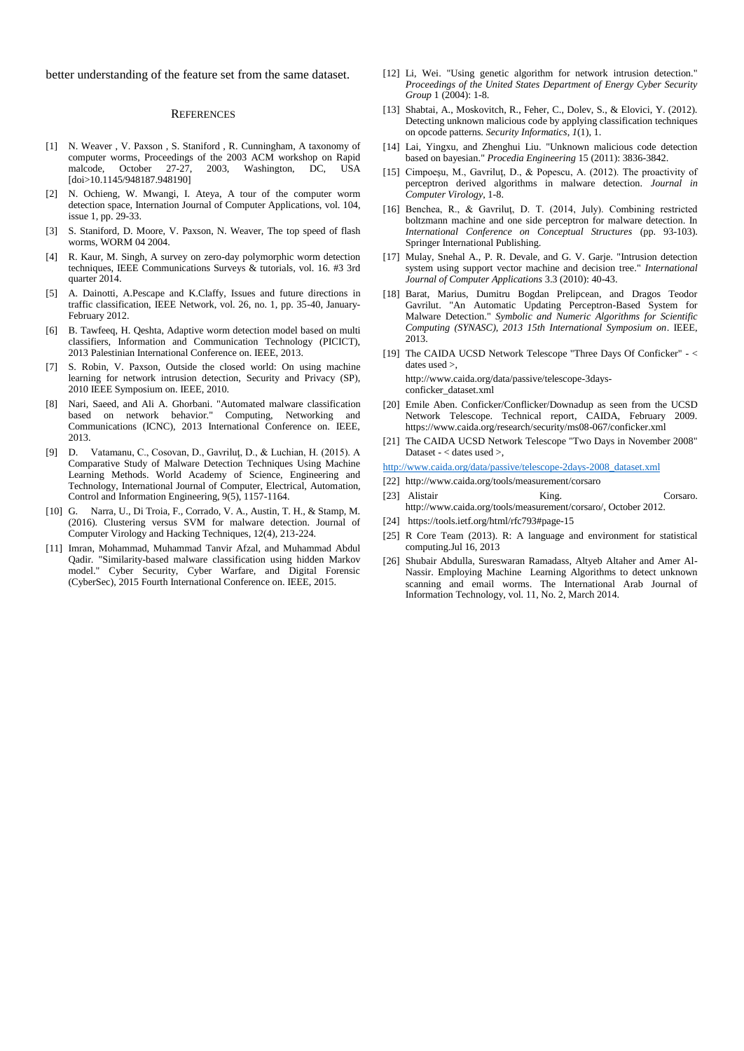better understanding of the feature set from the same dataset.

#### **REFERENCES**

- [1] N. Weaver , V. Paxson , S. Staniford , R. Cunningham, A taxonomy of computer worms, Proceedings of the 2003 ACM workshop on Rapid<br>malcode, October 27-27, 2003, Washington, DC, USA Washington, DC, USA [doi>10.1145/948187.948190]
- [2] N. Ochieng, W. Mwangi, I. Ateya, A tour of the computer worm detection space, Internation Journal of Computer Applications, vol. 104, issue 1, pp. 29-33.
- [3] S. Staniford, D. Moore, V. Paxson, N. Weaver, The top speed of flash worms, WORM 04 2004.
- [4] R. Kaur, M. Singh, A survey on zero-day polymorphic worm detection techniques, IEEE Communications Surveys & tutorials, vol. 16. #3 3rd quarter 2014.
- [5] A. Dainotti, A.Pescape and K.Claffy, Issues and future directions in traffic classification, IEEE Network, vol. 26, no. 1, pp. 35-40, January-February 2012.
- [6] B. Tawfeeq, H. Qeshta, Adaptive worm detection model based on multi classifiers, Information and Communication Technology (PICICT), 2013 Palestinian International Conference on. IEEE, 2013.
- [7] S. Robin, V. Paxson, Outside the closed world: On using machine learning for network intrusion detection, Security and Privacy (SP), 2010 IEEE Symposium on. IEEE, 2010.
- [8] Nari, Saeed, and Ali A. Ghorbani. "Automated malware classification based on network behavior." Computing, Networking and Communications (ICNC), 2013 International Conference on. IEEE, 2013.
- [9] D. Vatamanu, C., Cosovan, D., Gavriluţ, D., & Luchian, H. (2015). A Comparative Study of Malware Detection Techniques Using Machine Learning Methods. World Academy of Science, Engineering and Technology, International Journal of Computer, Electrical, Automation, Control and Information Engineering, 9(5), 1157-1164.
- [10] G. Narra, U., Di Troia, F., Corrado, V. A., Austin, T. H., & Stamp, M. (2016). Clustering versus SVM for malware detection. Journal of Computer Virology and Hacking Techniques, 12(4), 213-224.
- [11] Imran, Mohammad, Muhammad Tanvir Afzal, and Muhammad Abdul Qadir. "Similarity-based malware classification using hidden Markov model." Cyber Security, Cyber Warfare, and Digital Forensic (CyberSec), 2015 Fourth International Conference on. IEEE, 2015.
- [12] Li, Wei. "Using genetic algorithm for network intrusion detection." *Proceedings of the United States Department of Energy Cyber Security Group* 1 (2004): 1-8.
- [13] Shabtai, A., Moskovitch, R., Feher, C., Dolev, S., & Elovici, Y. (2012). Detecting unknown malicious code by applying classification techniques on opcode patterns. *Security Informatics*, *1*(1), 1.
- [14] Lai, Yingxu, and Zhenghui Liu. "Unknown malicious code detection based on bayesian." *Procedia Engineering* 15 (2011): 3836-3842.
- [15] Cimpoesu, M., Gavrilut, D., & Popescu, A. (2012). The proactivity of perceptron derived algorithms in malware detection. *Journal in Computer Virology*, 1-8.
- [16] Benchea, R., & Gavriluţ, D. T. (2014, July). Combining restricted boltzmann machine and one side perceptron for malware detection. In *International Conference on Conceptual Structures* (pp. 93-103). Springer International Publishing.
- [17] Mulay, Snehal A., P. R. Devale, and G. V. Garje. "Intrusion detection system using support vector machine and decision tree." *International Journal of Computer Applications* 3.3 (2010): 40-43.
- [18] Barat, Marius, Dumitru Bogdan Prelipcean, and Dragos Teodor Gavrilut. "An Automatic Updating Perceptron-Based System for Malware Detection." *Symbolic and Numeric Algorithms for Scientific Computing (SYNASC), 2013 15th International Symposium on*. IEEE, 2013.
- [19] The CAIDA UCSD Network Telescope "Three Days Of Conficker" < dates used >,

http://www.caida.org/data/passive/telescope-3daysconficker\_dataset.xml

- [20] Emile Aben. Conficker/Conflicker/Downadup as seen from the UCSD Network Telescope. Technical report, CAIDA, February 2009. https://www.caida.org/research/security/ms08-067/conficker.xml
- [21] The CAIDA UCSD Network Telescope "Two Days in November 2008" Dataset - < dates used >,

[http://www.caida.org/data/passive/telescope-2days-2008\\_dataset.xml](http://www.caida.org/data/passive/telescope-2days-2008_dataset.xml)

- [22] <http://www.caida.org/tools/measurement/corsaro>
- [23] Alistair King. Corsaro. http://www.caida.org/tools/measurement/corsaro/, October 2012.
- [24] <https://tools.ietf.org/html/rfc793#page-15>
- [25] R Core Team (2013). R: A language and environment for statistical computing.Jul 16, 2013
- [26] Shubair Abdulla, Sureswaran Ramadass, Altyeb Altaher and Amer Al-Nassir. Employing Machine Learning Algorithms to detect unknown scanning and email worms. The International Arab Journal of Information Technology, vol. 11, No. 2, March 2014.